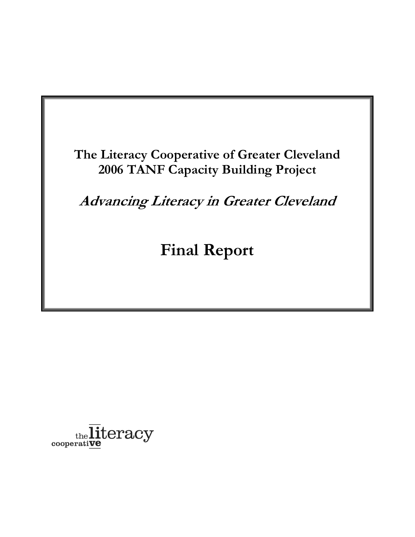**The Literacy Cooperative of Greater Cleveland 2006 TANF Capacity Building Project**

**Advancing Literacy in Greater Cleveland**

**Final Report**

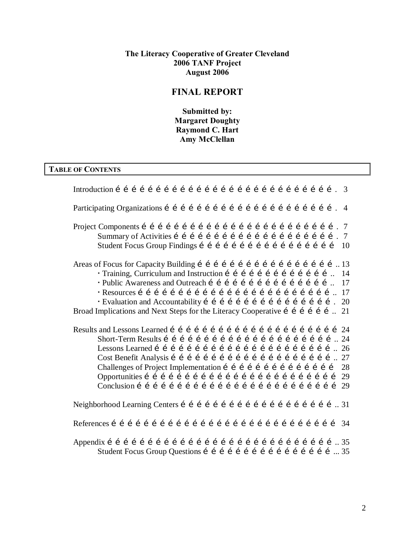#### **The Literacy Cooperative of Greater Cleveland 2006 TANF Project August 2006**

## **FINAL REPORT**

**Submitted by: Margaret Doughty Raymond C. Hart Amy McClellan**

#### **TABLE OF CONTENTS**

Introduction ………………………………………………………………………. 3 Participating Organizations ………………………………………………………. 4 Project Components ………………………………………………………………. 7 Summary of Activities ……………………………………………………. 7 Student Focus Group Findings …………………………………………… 10 Areas of Focus for Capacity Building  $f \in i \in i \in i \in i \in i \in i \in \mathbb{N}$ . 13 • Training, Curriculum and Instruction í í í í í í í í í í í í í í í... 14 • Public Awareness and Outreach í í í í í í í í í í í í í í í í í... 17 † Resources ……………………………………………………………….. 17 \* Evaluation and Accountability i i i i i i i i i i i i i i i i i . 20 Broad Implications and Next Steps for the Literacy Cooperative  $\tilde{i}$  is  $\tilde{j}$  in  $\tilde{j}$  in 21 Results and Lessons Learned ………………………………………………………24 Short-Term Results ……………………………………………………….. 24 Lessons Learned  $f \in i \in j \in j \in j \in j \in k$  is  $i \in j \in k$ ,  $i \in k$ Cost Benefit Analysis …………………………………………………….. 27 Challenges of Project Implementation  $f \in f \in f \in f \in \mathbb{Z}$ Opportunities ……………………………………………………………… 29 Conclusion  $f \in f \in f \in f \in f \in f \in f \in f \in f \in f \in f \in f$ Neighborhood Learning Centers ………………………………………………….. 31 References ………………………………………………………………………… 34 Appendix ………………………………………………………………………….. 35 Student Focus Group Questions  $f \in f \in f \in f \in f \in f \in \mathbb{Z}$  in  $\mathbb{Z}$  in  $\mathbb{Z}$  in  $\mathbb{Z}$  in  $\mathbb{Z}$  in  $\mathbb{Z}$  in  $\mathbb{Z}$  in  $\mathbb{Z}$  in  $\mathbb{Z}$  in  $\mathbb{Z}$  in  $\mathbb{Z}$  in  $\mathbb{Z}$  in  $\mathbb{Z}$  in  $\mathbb{Z}$  in  $\mathbb{$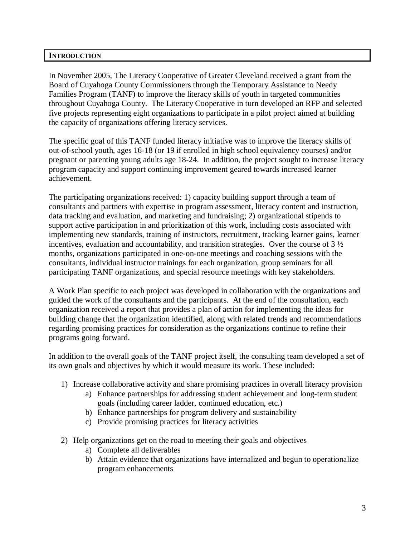## **INTRODUCTION**

In November 2005, The Literacy Cooperative of Greater Cleveland received a grant from the Board of Cuyahoga County Commissioners through the Temporary Assistance to Needy Families Program (TANF) to improve the literacy skills of youth in targeted communities throughout Cuyahoga County. The Literacy Cooperative in turn developed an RFP and selected five projects representing eight organizations to participate in a pilot project aimed at building the capacity of organizations offering literacy services.

The specific goal of this TANF funded literacy initiative was to improve the literacy skills of out-of-school youth, ages 16-18 (or 19 if enrolled in high school equivalency courses) and/or pregnant or parenting young adults age 18-24. In addition, the project sought to increase literacy program capacity and support continuing improvement geared towards increased learner achievement.

The participating organizations received: 1) capacity building support through a team of consultants and partners with expertise in program assessment, literacy content and instruction, data tracking and evaluation, and marketing and fundraising; 2) organizational stipends to support active participation in and prioritization of this work, including costs associated with implementing new standards, training of instructors, recruitment, tracking learner gains, learner incentives, evaluation and accountability, and transition strategies. Over the course of  $3\frac{1}{2}$ months, organizations participated in one-on-one meetings and coaching sessions with the consultants, individual instructor trainings for each organization, group seminars for all participating TANF organizations, and special resource meetings with key stakeholders.

A Work Plan specific to each project was developed in collaboration with the organizations and guided the work of the consultants and the participants. At the end of the consultation, each organization received a report that provides a plan of action for implementing the ideas for building change that the organization identified, along with related trends and recommendations regarding promising practices for consideration as the organizations continue to refine their programs going forward.

In addition to the overall goals of the TANF project itself, the consulting team developed a set of its own goals and objectives by which it would measure its work. These included:

- 1) Increase collaborative activity and share promising practices in overall literacy provision
	- a) Enhance partnerships for addressing student achievement and long-term student goals (including career ladder, continued education, etc.)
	- b) Enhance partnerships for program delivery and sustainability
	- c) Provide promising practices for literacy activities
- 2) Help organizations get on the road to meeting their goals and objectives
	- a) Complete all deliverables
	- b) Attain evidence that organizations have internalized and begun to operationalize program enhancements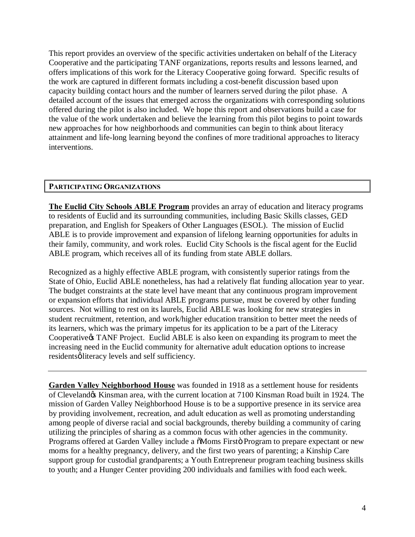This report provides an overview of the specific activities undertaken on behalf of the Literacy Cooperative and the participating TANF organizations, reports results and lessons learned, and offers implications of this work for the Literacy Cooperative going forward. Specific results of the work are captured in different formats including a cost-benefit discussion based upon capacity building contact hours and the number of learners served during the pilot phase. A detailed account of the issues that emerged across the organizations with corresponding solutions offered during the pilot is also included. We hope this report and observations build a case for the value of the work undertaken and believe the learning from this pilot begins to point towards new approaches for how neighborhoods and communities can begin to think about literacy attainment and life-long learning beyond the confines of more traditional approaches to literacy interventions.

## **PARTICIPATING ORGANIZATIONS**

**The Euclid City Schools ABLE Program** provides an array of education and literacy programs to residents of Euclid and its surrounding communities, including Basic Skills classes, GED preparation, and English for Speakers of Other Languages (ESOL). The mission of Euclid ABLE is to provide improvement and expansion of lifelong learning opportunities for adults in their family, community, and work roles. Euclid City Schools is the fiscal agent for the Euclid ABLE program, which receives all of its funding from state ABLE dollars.

Recognized as a highly effective ABLE program, with consistently superior ratings from the State of Ohio, Euclid ABLE nonetheless, has had a relatively flat funding allocation year to year. The budget constraints at the state level have meant that any continuous program improvement or expansion efforts that individual ABLE programs pursue, must be covered by other funding sources. Not willing to rest on its laurels, Euclid ABLE was looking for new strategies in student recruitment, retention, and work/higher education transition to better meet the needs of its learners, which was the primary impetus for its application to be a part of the Literacy Cooperative & TANF Project. Euclid ABLE is also keen on expanding its program to meet the increasing need in the Euclid community for alternative adult education options to increase residentsø literacy levels and self sufficiency.

**Garden Valley Neighborhood House** was founded in 1918 as a settlement house for residents of Cleveland & Kinsman area, with the current location at 7100 Kinsman Road built in 1924. The mission of Garden Valley Neighborhood House is to be a supportive presence in its service area by providing involvement, recreation, and adult education as well as promoting understanding among people of diverse racial and social backgrounds, thereby building a community of caring utilizing the principles of sharing as a common focus with other agencies in the community. Programs offered at Garden Valley include a  $\delta$ Moms Firstö Program to prepare expectant or new moms for a healthy pregnancy, delivery, and the first two years of parenting; a Kinship Care support group for custodial grandparents; a Youth Entrepreneur program teaching business skills to youth; and a Hunger Center providing 200 individuals and families with food each week.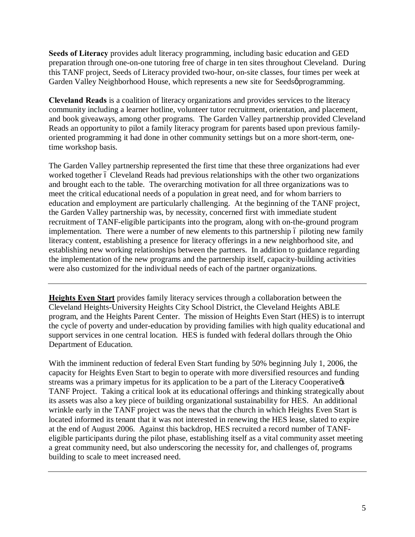**Seeds of Literacy** provides adult literacy programming, including basic education and GED preparation through one-on-one tutoring free of charge in ten sites throughout Cleveland. During this TANF project, Seeds of Literacy provided two-hour, on-site classes, four times per week at Garden Valley Neighborhood House, which represents a new site for Seedsø programming.

**Cleveland Reads** is a coalition of literacy organizations and provides services to the literacy community including a learner hotline, volunteer tutor recruitment, orientation, and placement, and book giveaways, among other programs. The Garden Valley partnership provided Cleveland Reads an opportunity to pilot a family literacy program for parents based upon previous familyoriented programming it had done in other community settings but on a more short-term, onetime workshop basis.

The Garden Valley partnership represented the first time that these three organizations had ever worked together 6 Cleveland Reads had previous relationships with the other two organizations and brought each to the table. The overarching motivation for all three organizations was to meet the critical educational needs of a population in great need, and for whom barriers to education and employment are particularly challenging. At the beginning of the TANF project, the Garden Valley partnership was, by necessity, concerned first with immediate student recruitment of TANF-eligible participants into the program, along with on-the-ground program implementation. There were a number of new elements to this partnership 6 piloting new family literacy content, establishing a presence for literacy offerings in a new neighborhood site, and establishing new working relationships between the partners. In addition to guidance regarding the implementation of the new programs and the partnership itself, capacity-building activities were also customized for the individual needs of each of the partner organizations.

**Heights Even Start** provides family literacy services through a collaboration between the Cleveland Heights-University Heights City School District, the Cleveland Heights ABLE program, and the Heights Parent Center. The mission of Heights Even Start (HES) is to interrupt the cycle of poverty and under-education by providing families with high quality educational and support services in one central location. HES is funded with federal dollars through the Ohio Department of Education.

With the imminent reduction of federal Even Start funding by 50% beginning July 1, 2006, the capacity for Heights Even Start to begin to operate with more diversified resources and funding streams was a primary impetus for its application to be a part of the Literacy Cooperative  $\alpha$ TANF Project. Taking a critical look at its educational offerings and thinking strategically about its assets was also a key piece of building organizational sustainability for HES. An additional wrinkle early in the TANF project was the news that the church in which Heights Even Start is located informed its tenant that it was not interested in renewing the HES lease, slated to expire at the end of August 2006. Against this backdrop, HES recruited a record number of TANFeligible participants during the pilot phase, establishing itself as a vital community asset meeting a great community need, but also underscoring the necessity for, and challenges of, programs building to scale to meet increased need.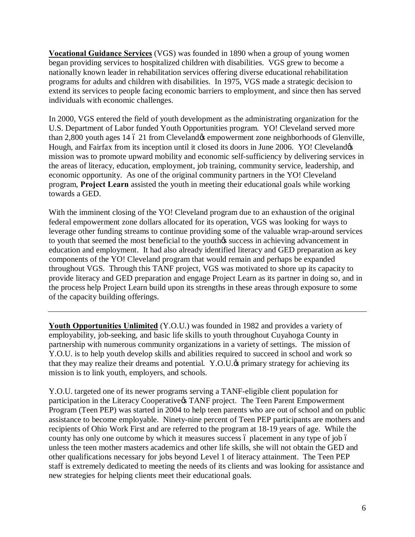**Vocational Guidance Services** (VGS) was founded in 1890 when a group of young women began providing services to hospitalized children with disabilities. VGS grew to become a nationally known leader in rehabilitation services offering diverse educational rehabilitation programs for adults and children with disabilities. In 1975, VGS made a strategic decision to extend its services to people facing economic barriers to employment, and since then has served individuals with economic challenges.

In 2000, VGS entered the field of youth development as the administrating organization for the U.S. Department of Labor funded Youth Opportunities program. YO! Cleveland served more than 2,800 youth ages 14 6 21 from Cleveland & empowerment zone neighborhoods of Glenville, Hough, and Fairfax from its inception until it closed its doors in June 2006. YO! Cleveland  $\alpha$ mission was to promote upward mobility and economic self-sufficiency by delivering services in the areas of literacy, education, employment, job training, community service, leadership, and economic opportunity. As one of the original community partners in the YO! Cleveland program, **Project Learn** assisted the youth in meeting their educational goals while working towards a GED.

With the imminent closing of the YO! Cleveland program due to an exhaustion of the original federal empowerment zone dollars allocated for its operation, VGS was looking for ways to leverage other funding streams to continue providing some of the valuable wrap-around services to youth that seemed the most beneficial to the youthos success in achieving advancement in education and employment. It had also already identified literacy and GED preparation as key components of the YO! Cleveland program that would remain and perhaps be expanded throughout VGS. Through this TANF project, VGS was motivated to shore up its capacity to provide literacy and GED preparation and engage Project Learn as its partner in doing so, and in the process help Project Learn build upon its strengths in these areas through exposure to some of the capacity building offerings.

**Youth Opportunities Unlimited** (Y.O.U.) was founded in 1982 and provides a variety of employability, job-seeking, and basic life skills to youth throughout Cuyahoga County in partnership with numerous community organizations in a variety of settings. The mission of Y.O.U. is to help youth develop skills and abilities required to succeed in school and work so that they may realize their dreams and potential. Y.O.U. $\&$  primary strategy for achieving its mission is to link youth, employers, and schools.

Y.O.U. targeted one of its newer programs serving a TANF-eligible client population for participation in the Literacy Cooperative & TANF project. The Teen Parent Empowerment Program (Teen PEP) was started in 2004 to help teen parents who are out of school and on public assistance to become employable. Ninety-nine percent of Teen PEP participants are mothers and recipients of Ohio Work First and are referred to the program at 18-19 years of age. While the county has only one outcome by which it measures success 6 placement in any type of job 6 unless the teen mother masters academics and other life skills, she will not obtain the GED and other qualifications necessary for jobs beyond Level 1 of literacy attainment. The Teen PEP staff is extremely dedicated to meeting the needs of its clients and was looking for assistance and new strategies for helping clients meet their educational goals.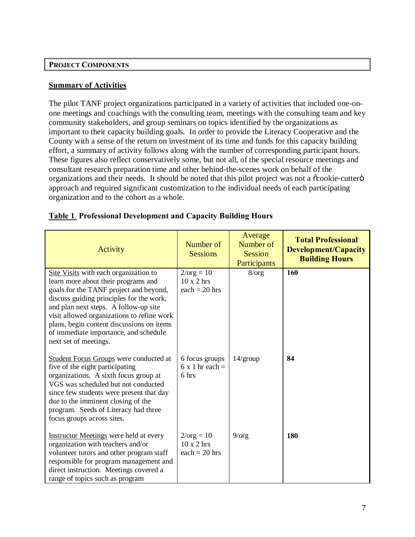#### **PROJECT COMPONENTS**

#### **Summary of Activities**

The pilot TANF project organizations participated in a variety of activities that included one-onone meetings and coachings with the consulting team, meetings with the consulting team and key community stakeholders, and group seminars on topics identified by the organizations as important to their capacity building goals. In order to provide the Literacy Cooperative and the County with a sense of the return on investment of its time and funds for this capacity building effort, a summary of activity follows along with the number of corresponding participant hours. These figures also reflect conservatively some, but not all, of the special resource meetings and consultant research preparation time and other behind-the-scenes work on behalf of the organizations and their needs. It should be noted that this pilot project was not a  $\tilde{\alpha}$ cookie-cutter $\ddot{\text{o}}$ approach and required significant customization to the individual needs of each participating organization and to the cohort as a whole.

| Activity                                                                                                                                                                                                                                                                                                                                                                 | Number of<br><b>Sessions</b>                                | Average<br>Number of<br><b>Session</b><br>Participants | <b>Total Professional</b><br><b>Development/Capacity</b><br><b>Building Hours</b> |
|--------------------------------------------------------------------------------------------------------------------------------------------------------------------------------------------------------------------------------------------------------------------------------------------------------------------------------------------------------------------------|-------------------------------------------------------------|--------------------------------------------------------|-----------------------------------------------------------------------------------|
| Site Visits with each organization to<br>learn more about their programs and<br>goals for the TANF project and beyond,<br>discuss guiding principles for the work,<br>and plan next steps. A follow-up site<br>visit allowed organizations to refine work<br>plans, begin content discussions on items<br>of immediate importance, and schedule<br>next set of meetings. | $2/\text{org} = 10$<br>$10 \times 2$ hrs<br>each = $20$ hrs | 8/org                                                  | 160                                                                               |
| <b>Student Focus Groups</b> were conducted at<br>five of the eight participating<br>organizations. A sixth focus group at<br>VGS was scheduled but not conducted<br>since few students were present that day<br>due to the imminent closing of the<br>program. Seeds of Literacy had three<br>focus groups across sites.                                                 | 6 focus groups<br>$6x 1$ hr each =<br>6 hrs                 | $14$ /group                                            | 84                                                                                |
| <b>Instructor Meetings</b> were held at every<br>organization with teachers and/or<br>volunteer tutors and other program staff<br>responsible for program management and<br>direct instruction. Meetings covered a<br>range of topics such as program                                                                                                                    | $2/\text{org} = 10$<br>$10 \times 2$ hrs<br>each = $20$ hrs | $9/\text{org}$                                         | <b>180</b>                                                                        |

## **Table 1**. **Professional Development and Capacity Building Hours**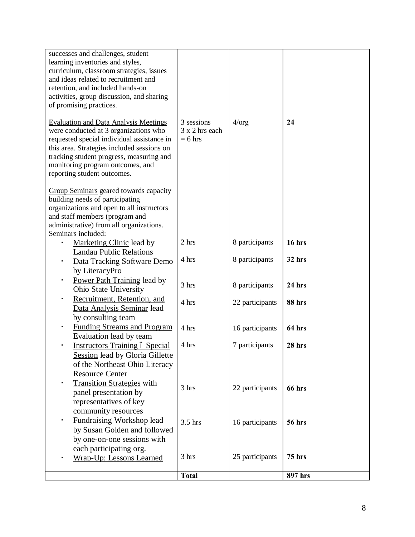| successes and challenges, student<br>learning inventories and styles,<br>curriculum, classroom strategies, issues<br>and ideas related to recruitment and<br>retention, and included hands-on<br>activities, group discussion, and sharing<br>of promising practices.<br><b>Evaluation and Data Analysis Meetings</b> | 3 sessions                  | 4/org           | 24            |
|-----------------------------------------------------------------------------------------------------------------------------------------------------------------------------------------------------------------------------------------------------------------------------------------------------------------------|-----------------------------|-----------------|---------------|
| were conducted at 3 organizations who<br>requested special individual assistance in<br>this area. Strategies included sessions on<br>tracking student progress, measuring and<br>monitoring program outcomes, and<br>reporting student outcomes.                                                                      | 3 x 2 hrs each<br>$= 6$ hrs |                 |               |
| Group Seminars geared towards capacity<br>building needs of participating<br>organizations and open to all instructors<br>and staff members (program and<br>administrative) from all organizations.<br>Seminars included:                                                                                             |                             |                 |               |
| <b>Marketing Clinic lead by</b>                                                                                                                                                                                                                                                                                       | 2 hrs                       | 8 participants  | 16 hrs        |
| <b>Landau Public Relations</b><br>Data Tracking Software Demo<br>by LiteracyPro                                                                                                                                                                                                                                       | 4 hrs                       | 8 participants  | 32 hrs        |
| Power Path Training lead by<br>Ohio State University                                                                                                                                                                                                                                                                  | 3 hrs                       | 8 participants  | 24 hrs        |
| Recruitment, Retention, and<br>Data Analysis Seminar lead<br>by consulting team                                                                                                                                                                                                                                       | 4 hrs                       | 22 participants | 88 hrs        |
| <b>Funding Streams and Program</b><br><b>Evaluation</b> lead by team                                                                                                                                                                                                                                                  | 4 hrs                       | 16 participants | 64 hrs        |
| <b>Instructors Training ó Special</b><br><b>Session</b> lead by Gloria Gillette<br>of the Northeast Ohio Literacy<br><b>Resource Center</b>                                                                                                                                                                           | 4 hrs                       | 7 participants  | 28 hrs        |
| <b>Transition Strategies with</b><br>panel presentation by<br>representatives of key<br>community resources                                                                                                                                                                                                           | 3 hrs                       | 22 participants | 66 hrs        |
| Fundraising Workshop lead<br>by Susan Golden and followed<br>by one-on-one sessions with<br>each participating org.                                                                                                                                                                                                   | 3.5 hrs                     | 16 participants | <b>56 hrs</b> |
| <b>Wrap-Up: Lessons Learned</b>                                                                                                                                                                                                                                                                                       | 3 hrs                       | 25 participants | <b>75 hrs</b> |
|                                                                                                                                                                                                                                                                                                                       | <b>Total</b>                |                 | 897 hrs       |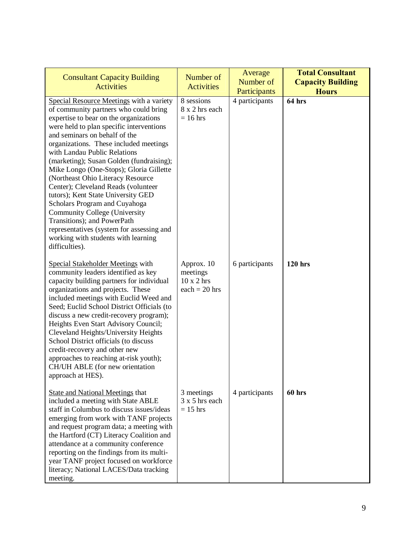| <b>Consultant Capacity Building</b><br><b>Activities</b>                                                                                                                                                                                                                                                                                                                                                                                                                                                                                                                                                                                                                                                  | Number of<br><b>Activities</b>                                 | Average<br>Number of<br>Participants | <b>Total Consultant</b><br><b>Capacity Building</b><br><b>Hours</b> |
|-----------------------------------------------------------------------------------------------------------------------------------------------------------------------------------------------------------------------------------------------------------------------------------------------------------------------------------------------------------------------------------------------------------------------------------------------------------------------------------------------------------------------------------------------------------------------------------------------------------------------------------------------------------------------------------------------------------|----------------------------------------------------------------|--------------------------------------|---------------------------------------------------------------------|
| Special Resource Meetings with a variety<br>of community partners who could bring<br>expertise to bear on the organizations<br>were held to plan specific interventions<br>and seminars on behalf of the<br>organizations. These included meetings<br>with Landau Public Relations<br>(marketing); Susan Golden (fundraising);<br>Mike Longo (One-Stops); Gloria Gillette<br>(Northeast Ohio Literacy Resource<br>Center); Cleveland Reads (volunteer<br>tutors); Kent State University GED<br>Scholars Program and Cuyahoga<br><b>Community College (University</b><br>Transitions); and PowerPath<br>representatives (system for assessing and<br>working with students with learning<br>difficulties). | 8 sessions<br>8 x 2 hrs each<br>$= 16$ hrs                     | 4 participants                       | 64 hrs                                                              |
| Special Stakeholder Meetings with<br>community leaders identified as key<br>capacity building partners for individual<br>organizations and projects. These<br>included meetings with Euclid Weed and<br>Seed; Euclid School District Officials (to<br>discuss a new credit-recovery program);<br>Heights Even Start Advisory Council;<br>Cleveland Heights/University Heights<br>School District officials (to discuss<br>credit-recovery and other new<br>approaches to reaching at-risk youth);<br>CH/UH ABLE (for new orientation<br>approach at HES).                                                                                                                                                 | Approx. 10<br>meetings<br>$10 \times 2$ hrs<br>$each = 20$ hrs | 6 participants                       | <b>120 hrs</b>                                                      |
| <b>State and National Meetings that</b><br>included a meeting with State ABLE<br>staff in Columbus to discuss issues/ideas<br>emerging from work with TANF projects<br>and request program data; a meeting with<br>the Hartford (CT) Literacy Coalition and<br>attendance at a community conference<br>reporting on the findings from its multi-<br>year TANF project focused on workforce<br>literacy; National LACES/Data tracking<br>meeting.                                                                                                                                                                                                                                                          | 3 meetings<br>$3x 5$ hrs each<br>$= 15$ hrs                    | 4 participants                       | 60 hrs                                                              |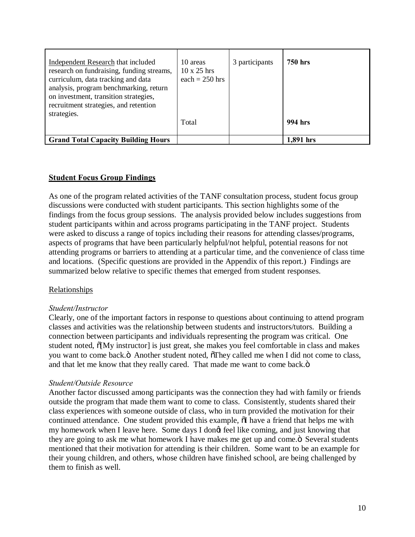| Independent Research that included<br>research on fundraising, funding streams,<br>curriculum, data tracking and data<br>analysis, program benchmarking, return<br>on investment, transition strategies,<br>recruitment strategies, and retention | 10 areas<br>$10 \times 25$ hrs<br>each = $250$ hrs | 3 participants | <b>750 hrs</b> |
|---------------------------------------------------------------------------------------------------------------------------------------------------------------------------------------------------------------------------------------------------|----------------------------------------------------|----------------|----------------|
| strategies.                                                                                                                                                                                                                                       | Total                                              |                | 994 hrs        |
| <b>Grand Total Capacity Building Hours</b>                                                                                                                                                                                                        |                                                    |                | 1,891 hrs      |

## **Student Focus Group Findings**

As one of the program related activities of the TANF consultation process, student focus group discussions were conducted with student participants. This section highlights some of the findings from the focus group sessions. The analysis provided below includes suggestions from student participants within and across programs participating in the TANF project. Students were asked to discuss a range of topics including their reasons for attending classes/programs, aspects of programs that have been particularly helpful/not helpful, potential reasons for not attending programs or barriers to attending at a particular time, and the convenience of class time and locations. (Specific questions are provided in the Appendix of this report.) Findings are summarized below relative to specific themes that emerged from student responses.

## Relationships

#### *Student/Instructor*

Clearly, one of the important factors in response to questions about continuing to attend program classes and activities was the relationship between students and instructors/tutors. Building a connection between participants and individuals representing the program was critical. One student noted,  $\tilde{o}[My\; instructor]$  is just great, she makes you feel comfortable in class and makes you want to come back. "Another student noted,  $\delta$ They called me when I did not come to class, and that let me know that they really cared. That made me want to come back. $\ddot{o}$ 

#### *Student/Outside Resource*

Another factor discussed among participants was the connection they had with family or friends outside the program that made them want to come to class. Consistently, students shared their class experiences with someone outside of class, who in turn provided the motivation for their continued attendance. One student provided this example,  $\tilde{o}$ I have a friend that helps me with my homework when I leave here. Some days I dongt feel like coming, and just knowing that they are going to ask me what homework I have makes me get up and come. $\ddot{o}$  Several students mentioned that their motivation for attending is their children. Some want to be an example for their young children, and others, whose children have finished school, are being challenged by them to finish as well.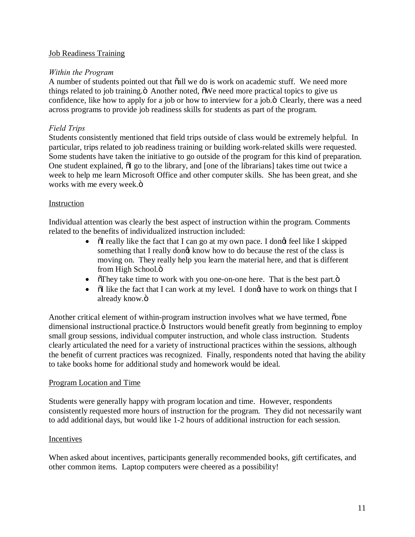## Job Readiness Training

### *Within the Program*

A number of students pointed out that  $\tilde{a}$ all we do is work on academic stuff. We need more things related to job training. "Another noted, "The need more practical topics to give us confidence, like how to apply for a job or how to interview for a job. $\ddot{o}$  Clearly, there was a need across programs to provide job readiness skills for students as part of the program.

## *Field Trips*

Students consistently mentioned that field trips outside of class would be extremely helpful. In particular, trips related to job readiness training or building work-related skills were requested. Some students have taken the initiative to go outside of the program for this kind of preparation. One student explained,  $\tilde{d}I$  go to the library, and [one of the librarians] takes time out twice a week to help me learn Microsoft Office and other computer skills. She has been great, and she works with me every week. $\ddot{\text{o}}$ 

## Instruction

Individual attention was clearly the best aspect of instruction within the program. Comments related to the benefits of individualized instruction included:

- $\ddot{\text{o}}$  I really like the fact that I can go at my own pace. I dong feel like I skipped something that I really dongt know how to do because the rest of the class is moving on. They really help you learn the material here, and that is different from High School. $\ddot{\text{o}}$
- They take time to work with you one-on-one here. That is the best part. $\ddot{o}$
- $\tilde{\text{o}}$  iike the fact that I can work at my level. I dongt have to work on things that I already know.ö

Another critical element of within-program instruction involves what we have termed, one dimensional instructional practice.  $\ddot{o}$  Instructors would benefit greatly from beginning to employ small group sessions, individual computer instruction, and whole class instruction. Students clearly articulated the need for a variety of instructional practices within the sessions, although the benefit of current practices was recognized. Finally, respondents noted that having the ability to take books home for additional study and homework would be ideal.

#### Program Location and Time

Students were generally happy with program location and time. However, respondents consistently requested more hours of instruction for the program. They did not necessarily want to add additional days, but would like 1-2 hours of additional instruction for each session.

#### Incentives

When asked about incentives, participants generally recommended books, gift certificates, and other common items. Laptop computers were cheered as a possibility!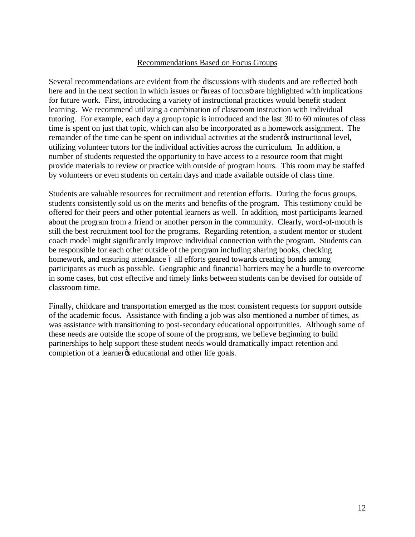#### Recommendations Based on Focus Groups

Several recommendations are evident from the discussions with students and are reflected both here and in the next section in which issues or  $\tilde{o}$  areas of focus are highlighted with implications for future work. First, introducing a variety of instructional practices would benefit student learning. We recommend utilizing a combination of classroom instruction with individual tutoring. For example, each day a group topic is introduced and the last 30 to 60 minutes of class time is spent on just that topic, which can also be incorporated as a homework assignment. The remainder of the time can be spent on individual activities at the student  $\alpha$  instructional level, utilizing volunteer tutors for the individual activities across the curriculum. In addition, a number of students requested the opportunity to have access to a resource room that might provide materials to review or practice with outside of program hours. This room may be staffed by volunteers or even students on certain days and made available outside of class time.

Students are valuable resources for recruitment and retention efforts. During the focus groups, students consistently sold us on the merits and benefits of the program. This testimony could be offered for their peers and other potential learners as well. In addition, most participants learned about the program from a friend or another person in the community. Clearly, word-of-mouth is still the best recruitment tool for the programs. Regarding retention, a student mentor or student coach model might significantly improve individual connection with the program. Students can be responsible for each other outside of the program including sharing books, checking homework, and ensuring attendance 6 all efforts geared towards creating bonds among participants as much as possible. Geographic and financial barriers may be a hurdle to overcome in some cases, but cost effective and timely links between students can be devised for outside of classroom time.

Finally, childcare and transportation emerged as the most consistent requests for support outside of the academic focus. Assistance with finding a job was also mentioned a number of times, as was assistance with transitioning to post-secondary educational opportunities. Although some of these needs are outside the scope of some of the programs, we believe beginning to build partnerships to help support these student needs would dramatically impact retention and completion of a learner<sub>/s</sub> educational and other life goals.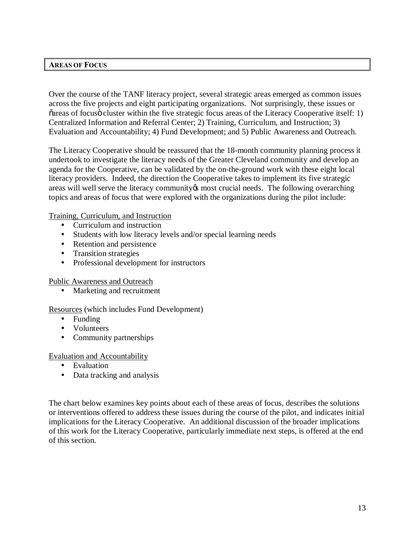#### **AREAS OF FOCUS**

Over the course of the TANF literacy project, several strategic areas emerged as common issues across the five projects and eight participating organizations. Not surprisingly, these issues or  $\tilde{\sigma}$  areas of focus cluster within the five strategic focus areas of the Literacy Cooperative itself: 1) Centralized Information and Referral Center; 2) Training, Curriculum, and Instruction; 3) Evaluation and Accountability; 4) Fund Development; and 5) Public Awareness and Outreach.

The Literacy Cooperative should be reassured that the 18-month community planning process it undertook to investigate the literacy needs of the Greater Cleveland community and develop an agenda for the Cooperative, can be validated by the on-the-ground work with these eight local literacy providers. Indeed, the direction the Cooperative takes to implement its five strategic areas will well serve the literacy community to most crucial needs. The following overarching topics and areas of focus that were explored with the organizations during the pilot include:

#### Training, Curriculum, and Instruction

- Curriculum and instruction
- ü Students with low literacy levels and/or special learning needs
- Retention and persistence
- Transition strategies
- Professional development for instructors

Public Awareness and Outreach

• Marketing and recruitment

## Resources (which includes Fund Development)

- $\bullet$  Funding
- Volunteers
- Community partnerships

#### Evaluation and Accountability

- Evaluation
- Data tracking and analysis

The chart below examines key points about each of these areas of focus, describes the solutions or interventions offered to address these issues during the course of the pilot, and indicates initial implications for the Literacy Cooperative. An additional discussion of the broader implications of this work for the Literacy Cooperative, particularly immediate next steps, is offered at the end of this section.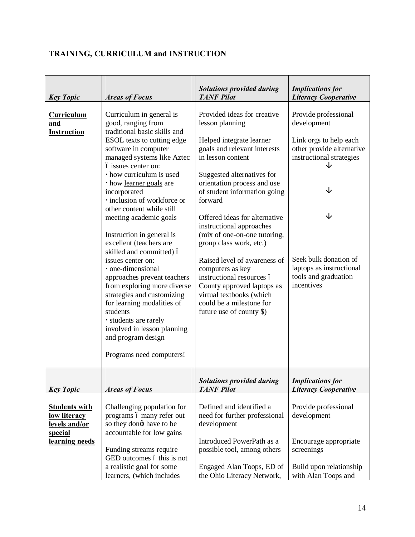# **TRAINING, CURRICULUM and INSTRUCTION**

| <b>Key Topic</b>                                                        | <b>Areas of Focus</b>                                                                                                                                                                                                                                                                                                                         | <b>Solutions provided during</b><br><b>TANF Pilot</b>                                                                                                                                                                      | <b>Implications for</b><br><b>Literacy Cooperative</b>                                  |
|-------------------------------------------------------------------------|-----------------------------------------------------------------------------------------------------------------------------------------------------------------------------------------------------------------------------------------------------------------------------------------------------------------------------------------------|----------------------------------------------------------------------------------------------------------------------------------------------------------------------------------------------------------------------------|-----------------------------------------------------------------------------------------|
| <b>Curriculum</b><br>and<br>Instruction                                 | Curriculum in general is<br>good, ranging from<br>traditional basic skills and                                                                                                                                                                                                                                                                | Provided ideas for creative<br>lesson planning                                                                                                                                                                             | Provide professional<br>development                                                     |
|                                                                         | ESOL texts to cutting edge<br>software in computer<br>managed systems like Aztec                                                                                                                                                                                                                                                              | Helped integrate learner<br>goals and relevant interests<br>in lesson content                                                                                                                                              | Link orgs to help each<br>other provide alternative<br>instructional strategies         |
|                                                                         | ó issues center on:<br>· how curriculum is used<br>· how learner goals are<br>incorporated<br>· inclusion of workforce or                                                                                                                                                                                                                     | Suggested alternatives for<br>orientation process and use<br>of student information going<br>forward                                                                                                                       | ↓                                                                                       |
|                                                                         | other content while still<br>meeting academic goals<br>Instruction in general is                                                                                                                                                                                                                                                              | Offered ideas for alternative<br>instructional approaches<br>(mix of one-on-one tutoring,                                                                                                                                  | ↓                                                                                       |
|                                                                         | excellent (teachers are<br>skilled and committed) ó<br>issues center on:<br>· one-dimensional<br>approaches prevent teachers<br>from exploring more diverse<br>strategies and customizing<br>for learning modalities of<br>students<br>· students are rarely<br>involved in lesson planning<br>and program design<br>Programs need computers! | group class work, etc.)<br>Raised level of awareness of<br>computers as key<br>instructional resources ó<br>County approved laptops as<br>virtual textbooks (which<br>could be a milestone for<br>future use of county \$) | Seek bulk donation of<br>laptops as instructional<br>tools and graduation<br>incentives |
| <b>Key Topic</b>                                                        | <b>Areas of Focus</b>                                                                                                                                                                                                                                                                                                                         | <b>Solutions provided during</b><br><b>TANF Pilot</b>                                                                                                                                                                      | <i>Implications for</i><br><b>Literacy Cooperative</b>                                  |
| <b>Students with</b><br>low literacy<br>levels and/or<br><u>special</u> | Challenging population for<br>programs ó many refer out<br>so they dong have to be<br>accountable for low gains                                                                                                                                                                                                                               | Defined and identified a<br>need for further professional<br>development                                                                                                                                                   | Provide professional<br>development                                                     |
| learning needs                                                          | Funding streams require<br>GED outcomes ó this is not                                                                                                                                                                                                                                                                                         | Introduced PowerPath as a<br>possible tool, among others                                                                                                                                                                   | Encourage appropriate<br>screenings                                                     |
|                                                                         | a realistic goal for some<br>learners, (which includes                                                                                                                                                                                                                                                                                        | Engaged Alan Toops, ED of<br>the Ohio Literacy Network,                                                                                                                                                                    | Build upon relationship<br>with Alan Toops and                                          |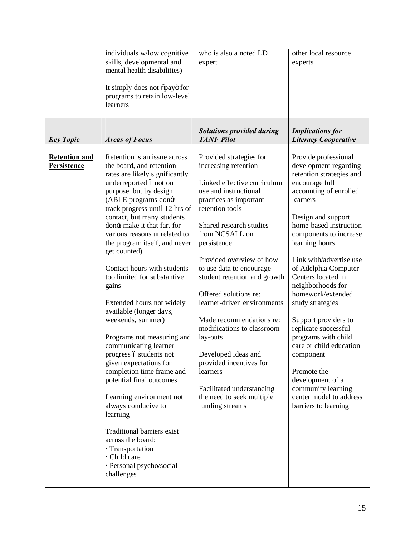|                                     | individuals w/low cognitive<br>skills, developmental and<br>mental health disabilities)<br>It simply does not õpayö for<br>programs to retain low-level<br>learners                                                                                                                                                                                                                                                                                                                                                                                                                                                                                                                                                                                                                                                                                                             | who is also a noted LD<br>expert                                                                                                                                                                                                                                                                                                                                                                                                                                                                                                                                                  | other local resource<br>experts                                                                                                                                                                                                                                                                                                                                                                                                                                                                                                                                                                 |
|-------------------------------------|---------------------------------------------------------------------------------------------------------------------------------------------------------------------------------------------------------------------------------------------------------------------------------------------------------------------------------------------------------------------------------------------------------------------------------------------------------------------------------------------------------------------------------------------------------------------------------------------------------------------------------------------------------------------------------------------------------------------------------------------------------------------------------------------------------------------------------------------------------------------------------|-----------------------------------------------------------------------------------------------------------------------------------------------------------------------------------------------------------------------------------------------------------------------------------------------------------------------------------------------------------------------------------------------------------------------------------------------------------------------------------------------------------------------------------------------------------------------------------|-------------------------------------------------------------------------------------------------------------------------------------------------------------------------------------------------------------------------------------------------------------------------------------------------------------------------------------------------------------------------------------------------------------------------------------------------------------------------------------------------------------------------------------------------------------------------------------------------|
| <b>Key Topic</b>                    | <b>Areas of Focus</b>                                                                                                                                                                                                                                                                                                                                                                                                                                                                                                                                                                                                                                                                                                                                                                                                                                                           | <b>Solutions provided during</b><br><b>TANF Pilot</b>                                                                                                                                                                                                                                                                                                                                                                                                                                                                                                                             | <b>Implications for</b><br><b>Literacy Cooperative</b>                                                                                                                                                                                                                                                                                                                                                                                                                                                                                                                                          |
| <b>Retention and</b><br>Persistence | Retention is an issue across<br>the board, and retention<br>rates are likely significantly<br>underreported ó not on<br>purpose, but by design<br>(ABLE programs dongt<br>track progress until 12 hrs of<br>contact, but many students<br>dongt make it that far, for<br>various reasons unrelated to<br>the program itself, and never<br>get counted)<br>Contact hours with students<br>too limited for substantive<br>gains<br>Extended hours not widely<br>available (longer days,<br>weekends, summer)<br>Programs not measuring and<br>communicating learner<br>progress ó students not<br>given expectations for<br>completion time frame and<br>potential final outcomes<br>Learning environment not<br>always conducive to<br>learning<br>Traditional barriers exist<br>across the board:<br>· Transportation<br>· Child care<br>· Personal psycho/social<br>challenges | Provided strategies for<br>increasing retention<br>Linked effective curriculum<br>use and instructional<br>practices as important<br>retention tools<br>Shared research studies<br>from NCSALL on<br>persistence<br>Provided overview of how<br>to use data to encourage<br>student retention and growth<br>Offered solutions re:<br>learner-driven environments<br>Made recommendations re:<br>modifications to classroom<br>lay-outs<br>Developed ideas and<br>provided incentives for<br>learners<br>Facilitated understanding<br>the need to seek multiple<br>funding streams | Provide professional<br>development regarding<br>retention strategies and<br>encourage full<br>accounting of enrolled<br>learners<br>Design and support<br>home-based instruction<br>components to increase<br>learning hours<br>Link with/advertise use<br>of Adelphia Computer<br>Centers located in<br>neighborhoods for<br>homework/extended<br>study strategies<br>Support providers to<br>replicate successful<br>programs with child<br>care or child education<br>component<br>Promote the<br>development of a<br>community learning<br>center model to address<br>barriers to learning |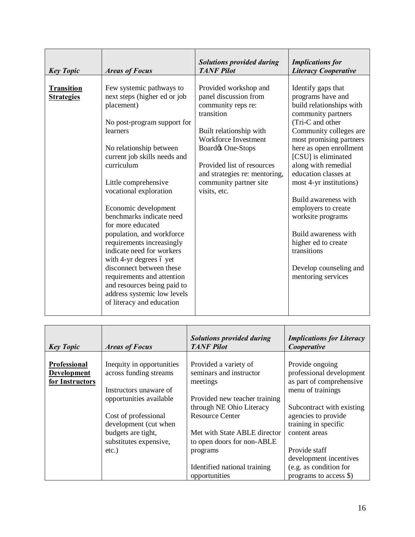| <b>Key Topic</b>                       | <b>Areas of Focus</b>                                                                                                                                                                                                                                                                                                                                                                                                                                                                                                                                                                        | <b>Solutions provided during</b><br><b>TANF Pilot</b>                                                                                                                                                                                                               | <b>Implications for</b><br><b>Literacy Cooperative</b>                                                                                                                                                                                                                                                                                                                                                                                                                           |
|----------------------------------------|----------------------------------------------------------------------------------------------------------------------------------------------------------------------------------------------------------------------------------------------------------------------------------------------------------------------------------------------------------------------------------------------------------------------------------------------------------------------------------------------------------------------------------------------------------------------------------------------|---------------------------------------------------------------------------------------------------------------------------------------------------------------------------------------------------------------------------------------------------------------------|----------------------------------------------------------------------------------------------------------------------------------------------------------------------------------------------------------------------------------------------------------------------------------------------------------------------------------------------------------------------------------------------------------------------------------------------------------------------------------|
| <b>Transition</b><br><b>Strategies</b> | Few systemic pathways to<br>next steps (higher ed or job<br>placement)<br>No post-program support for<br>learners<br>No relationship between<br>current job skills needs and<br>curriculum<br>Little comprehensive<br>vocational exploration<br>Economic development<br>benchmarks indicate need<br>for more educated<br>population, and workforce<br>requirements increasingly<br>indicate need for workers<br>with 4-yr degrees 6 yet<br>disconnect between these<br>requirements and attention<br>and resources being paid to<br>address systemic low levels<br>of literacy and education | Provided workshop and<br>panel discussion from<br>community reps re:<br>transition<br>Built relationship with<br>Workforce Investment<br>Board & One-Stops<br>Provided list of resources<br>and strategies re: mentoring,<br>community partner site<br>visits, etc. | Identify gaps that<br>programs have and<br>build relationships with<br>community partners<br>(Tri-C and other<br>Community colleges are<br>most promising partners<br>here as open enrollment<br>[CSU] is eliminated<br>along with remedial<br>education classes at<br>most 4-yr institutions)<br>Build awareness with<br>employers to create<br>worksite programs<br>Build awareness with<br>higher ed to create<br>transitions<br>Develop counseling and<br>mentoring services |

| <b>Key Topic</b>                                      | <b>Areas of Focus</b>                                                                                    | <b>Solutions provided during</b><br><b>TANF Pilot</b>                                                            | <b>Implications for Literacy</b><br>Cooperative                                              |
|-------------------------------------------------------|----------------------------------------------------------------------------------------------------------|------------------------------------------------------------------------------------------------------------------|----------------------------------------------------------------------------------------------|
| Professional<br><b>Development</b><br>for Instructors | Inequity in opportunities<br>across funding streams<br>Instructors unaware of<br>opportunities available | Provided a variety of<br>seminars and instructor<br>meetings<br>Provided new teacher training                    | Provide ongoing<br>professional development<br>as part of comprehensive<br>menu of trainings |
|                                                       | Cost of professional<br>development (cut when<br>budgets are tight,<br>substitutes expensive,            | through NE Ohio Literacy<br><b>Resource Center</b><br>Met with State ABLE director<br>to open doors for non-ABLE | Subcontract with existing<br>agencies to provide<br>training in specific<br>content areas    |
|                                                       | $etc.$ )                                                                                                 | programs<br>Identified national training<br>opportunities                                                        | Provide staff<br>development incentives<br>(e.g. as condition for<br>programs to access \$)  |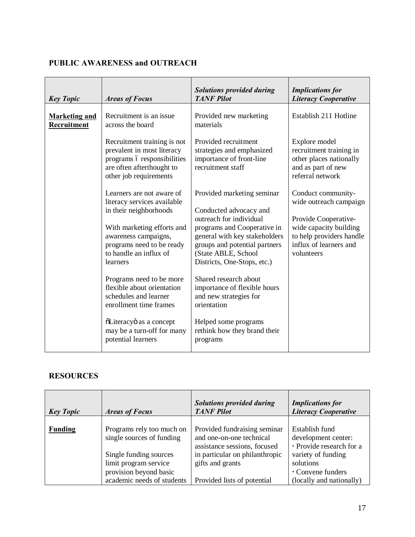## **PUBLIC AWARENESS and OUTREACH**

| <b>Key Topic</b>                    | <b>Areas of Focus</b>                                                                                                                                                                                       | <b>Solutions provided during</b><br><b>TANF Pilot</b>                                                                                                                                                                                  | <b>Implications for</b><br><b>Literacy Cooperative</b>                                                                                                             |
|-------------------------------------|-------------------------------------------------------------------------------------------------------------------------------------------------------------------------------------------------------------|----------------------------------------------------------------------------------------------------------------------------------------------------------------------------------------------------------------------------------------|--------------------------------------------------------------------------------------------------------------------------------------------------------------------|
| <b>Marketing and</b><br>Recruitment | Recruitment is an issue<br>across the board                                                                                                                                                                 | Provided new marketing<br>materials                                                                                                                                                                                                    | Establish 211 Hotline                                                                                                                                              |
|                                     | Recruitment training is not<br>prevalent in most literacy<br>programs ó responsibilities<br>are often afterthought to<br>other job requirements                                                             | Provided recruitment<br>strategies and emphasized<br>importance of front-line<br>recruitment staff                                                                                                                                     | Explore model<br>recruitment training in<br>other places nationally<br>and as part of new<br>referral network                                                      |
|                                     | Learners are not aware of<br>literacy services available<br>in their neighborhoods<br>With marketing efforts and<br>awareness campaigns,<br>programs need to be ready<br>to handle an influx of<br>learners | Provided marketing seminar<br>Conducted advocacy and<br>outreach for individual<br>programs and Cooperative in<br>general with key stakeholders<br>groups and potential partners<br>(State ABLE, School<br>Districts, One-Stops, etc.) | Conduct community-<br>wide outreach campaign<br>Provide Cooperative-<br>wide capacity building<br>to help providers handle<br>influx of learners and<br>volunteers |
|                                     | Programs need to be more<br>flexible about orientation<br>schedules and learner<br>enrollment time frames                                                                                                   | Shared research about<br>importance of flexible hours<br>and new strategies for<br>orientation                                                                                                                                         |                                                                                                                                                                    |
|                                     | õLiteracyö as a concept<br>may be a turn-off for many<br>potential learners                                                                                                                                 | Helped some programs<br>rethink how they brand their<br>programs                                                                                                                                                                       |                                                                                                                                                                    |

## **RESOURCES**

| <b>Key Topic</b> | <b>Areas of Focus</b>                                                                                                                                             | <b>Solutions provided during</b><br><b>TANF Pilot</b>                                                                                                                         | <b>Implications for</b><br><b>Literacy Cooperative</b>                                                                                                |
|------------------|-------------------------------------------------------------------------------------------------------------------------------------------------------------------|-------------------------------------------------------------------------------------------------------------------------------------------------------------------------------|-------------------------------------------------------------------------------------------------------------------------------------------------------|
| <b>Funding</b>   | Programs rely too much on<br>single sources of funding<br>Single funding sources<br>limit program service<br>provision beyond basic<br>academic needs of students | Provided fundraising seminar<br>and one-on-one technical<br>assistance sessions, focused<br>in particular on philanthropic<br>gifts and grants<br>Provided lists of potential | Establish fund<br>development center:<br>· Provide research for a<br>variety of funding<br>solutions<br>• Convene funders<br>(locally and nationally) |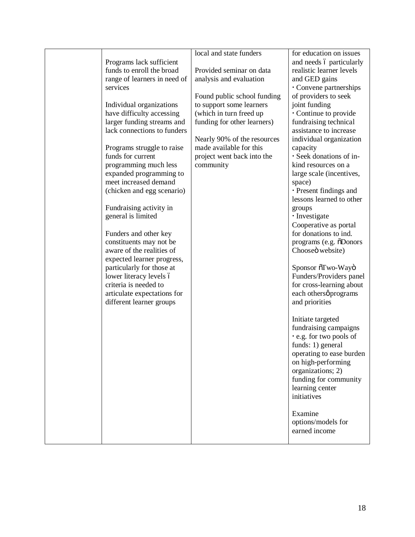|                              | local and state funders     | for education on issues        |
|------------------------------|-----------------------------|--------------------------------|
| Programs lack sufficient     |                             | and needs 6 particularly       |
| funds to enroll the broad    | Provided seminar on data    | realistic learner levels       |
| range of learners in need of | analysis and evaluation     | and GED gains                  |
| services                     |                             | Convene partnerships           |
|                              | Found public school funding | of providers to seek           |
| Individual organizations     | to support some learners    | joint funding                  |
|                              |                             |                                |
| have difficulty accessing    | (which in turn freed up     | Continue to provide            |
| larger funding streams and   | funding for other learners) | fundraising technical          |
| lack connections to funders  |                             | assistance to increase         |
|                              | Nearly 90% of the resources | individual organization        |
| Programs struggle to raise   | made available for this     | capacity                       |
| funds for current            | project went back into the  | · Seek donations of in-        |
| programming much less        | community                   | kind resources on a            |
| expanded programming to      |                             | large scale (incentives,       |
| meet increased demand        |                             | space)                         |
| (chicken and egg scenario)   |                             | · Present findings and         |
|                              |                             | lessons learned to other       |
| Fundraising activity in      |                             | groups                         |
| general is limited           |                             | · Investigate                  |
|                              |                             | Cooperative as portal          |
| Funders and other key        |                             | for donations to ind.          |
| constituents may not be      |                             | programs (e.g. $\delta$ Donors |
| aware of the realities of    |                             | Chooseö website)               |
| expected learner progress,   |                             |                                |
| particularly for those at    |                             | Sponsor õTwo-Wayö              |
| lower literacy levels ó      |                             | Funders/Providers panel        |
| criteria is needed to        |                             | for cross-learning about       |
| articulate expectations for  |                             | each othersø programs          |
| different learner groups     |                             | and priorities                 |
|                              |                             |                                |
|                              |                             |                                |
|                              |                             | Initiate targeted              |
|                              |                             | fundraising campaigns          |
|                              |                             | . e.g. for two pools of        |
|                              |                             | funds: 1) general              |
|                              |                             | operating to ease burden       |
|                              |                             | on high-performing             |
|                              |                             | organizations; 2)              |
|                              |                             | funding for community          |
|                              |                             | learning center                |
|                              |                             | initiatives                    |
|                              |                             |                                |
|                              |                             | Examine                        |
|                              |                             | options/models for             |
|                              |                             | earned income                  |
|                              |                             |                                |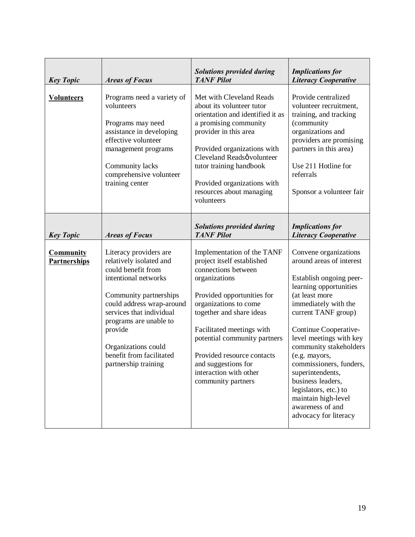| <b>Key Topic</b>                        | <b>Areas of Focus</b>                                                                                                                                                                                                                                                                              | <b>Solutions provided during</b><br><b>TANF Pilot</b>                                                                                                                                                                                                                                                                                                 | <b>Implications for</b><br><b>Literacy Cooperative</b>                                                                                                                                                                                                                                                                                                                                                                                  |
|-----------------------------------------|----------------------------------------------------------------------------------------------------------------------------------------------------------------------------------------------------------------------------------------------------------------------------------------------------|-------------------------------------------------------------------------------------------------------------------------------------------------------------------------------------------------------------------------------------------------------------------------------------------------------------------------------------------------------|-----------------------------------------------------------------------------------------------------------------------------------------------------------------------------------------------------------------------------------------------------------------------------------------------------------------------------------------------------------------------------------------------------------------------------------------|
| <b>Volunteers</b>                       | Programs need a variety of<br>volunteers<br>Programs may need<br>assistance in developing<br>effective volunteer<br>management programs<br>Community lacks<br>comprehensive volunteer<br>training center                                                                                           | Met with Cleveland Reads<br>about its volunteer tutor<br>orientation and identified it as<br>a promising community<br>provider in this area<br>Provided organizations with<br>Cleveland Readsø volunteer<br>tutor training handbook<br>Provided organizations with<br>resources about managing<br>volunteers                                          | Provide centralized<br>volunteer recruitment,<br>training, and tracking<br>(community<br>organizations and<br>providers are promising<br>partners in this area)<br>Use 211 Hotline for<br>referrals<br>Sponsor a volunteer fair                                                                                                                                                                                                         |
| <b>Key Topic</b>                        | <b>Areas of Focus</b>                                                                                                                                                                                                                                                                              | <b>Solutions provided during</b><br><b>TANF Pilot</b>                                                                                                                                                                                                                                                                                                 | <b>Implications</b> for<br><b>Literacy Cooperative</b>                                                                                                                                                                                                                                                                                                                                                                                  |
| <b>Community</b><br><b>Partnerships</b> | Literacy providers are<br>relatively isolated and<br>could benefit from<br>intentional networks<br>Community partnerships<br>could address wrap-around<br>services that individual<br>programs are unable to<br>provide<br>Organizations could<br>benefit from facilitated<br>partnership training | Implementation of the TANF<br>project itself established<br>connections between<br>organizations<br>Provided opportunities for<br>organizations to come<br>together and share ideas<br>Facilitated meetings with<br>potential community partners<br>Provided resource contacts<br>and suggestions for<br>interaction with other<br>community partners | Convene organizations<br>around areas of interest<br>Establish ongoing peer-<br>learning opportunities<br>(at least more<br>immediately with the<br>current TANF group)<br>Continue Cooperative-<br>level meetings with key<br>community stakeholders<br>(e.g. mayors,<br>commissioners, funders,<br>superintendents,<br>business leaders,<br>legislators, etc.) to<br>maintain high-level<br>awareness of and<br>advocacy for literacy |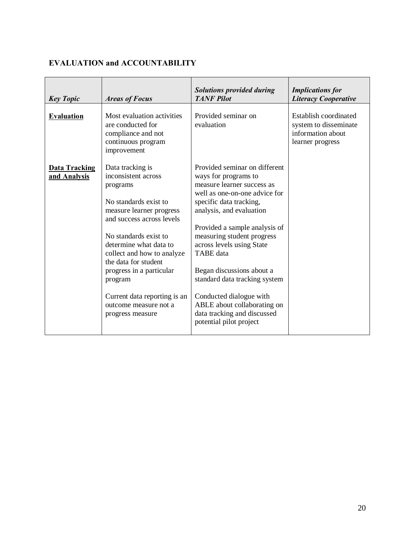# **EVALUATION and ACCOUNTABILITY**

| <b>Key Topic</b>                     | <b>Areas of Focus</b>                                                                                                                                                                                                                                                                                                                                              | <b>Solutions provided during</b><br><b>TANF</b> Pilot                                                                                                                                                                                                                                                                                                                                                                                                                         | <b>Implications for</b><br><b>Literacy Cooperative</b>                                  |
|--------------------------------------|--------------------------------------------------------------------------------------------------------------------------------------------------------------------------------------------------------------------------------------------------------------------------------------------------------------------------------------------------------------------|-------------------------------------------------------------------------------------------------------------------------------------------------------------------------------------------------------------------------------------------------------------------------------------------------------------------------------------------------------------------------------------------------------------------------------------------------------------------------------|-----------------------------------------------------------------------------------------|
| <b>Evaluation</b>                    | Most evaluation activities<br>are conducted for<br>compliance and not<br>continuous program<br>improvement                                                                                                                                                                                                                                                         | Provided seminar on<br>evaluation                                                                                                                                                                                                                                                                                                                                                                                                                                             | Establish coordinated<br>system to disseminate<br>information about<br>learner progress |
| <b>Data Tracking</b><br>and Analysis | Data tracking is<br>inconsistent across<br>programs<br>No standards exist to<br>measure learner progress<br>and success across levels<br>No standards exist to<br>determine what data to<br>collect and how to analyze<br>the data for student<br>progress in a particular<br>program<br>Current data reporting is an<br>outcome measure not a<br>progress measure | Provided seminar on different<br>ways for programs to<br>measure learner success as<br>well as one-on-one advice for<br>specific data tracking,<br>analysis, and evaluation<br>Provided a sample analysis of<br>measuring student progress<br>across levels using State<br><b>TABE</b> data<br>Began discussions about a<br>standard data tracking system<br>Conducted dialogue with<br>ABLE about collaborating on<br>data tracking and discussed<br>potential pilot project |                                                                                         |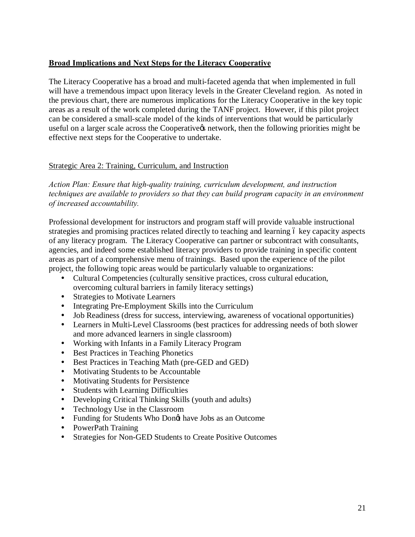## **Broad Implications and Next Steps for the Literacy Cooperative**

The Literacy Cooperative has a broad and multi-faceted agenda that when implemented in full will have a tremendous impact upon literacy levels in the Greater Cleveland region. As noted in the previous chart, there are numerous implications for the Literacy Cooperative in the key topic areas as a result of the work completed during the TANF project. However, if this pilot project can be considered a small-scale model of the kinds of interventions that would be particularly useful on a larger scale across the Cooperative ts network, then the following priorities might be effective next steps for the Cooperative to undertake.

## Strategic Area 2: Training, Curriculum, and Instruction

*Action Plan: Ensure that high-quality training, curriculum development, and instruction techniques are available to providers so that they can build program capacity in an environment of increased accountability.*

Professional development for instructors and program staff will provide valuable instructional strategies and promising practices related directly to teaching and learning 6 key capacity aspects of any literacy program. The Literacy Cooperative can partner or subcontract with consultants, agencies, and indeed some established literacy providers to provide training in specific content areas as part of a comprehensive menu of trainings. Based upon the experience of the pilot project, the following topic areas would be particularly valuable to organizations:

- ü Cultural Competencies (culturally sensitive practices, cross cultural education, overcoming cultural barriers in family literacy settings)
- Strategies to Motivate Learners
- Integrating Pre-Employment Skills into the Curriculum
- ü Job Readiness (dress for success, interviewing, awareness of vocational opportunities)
- Learners in Multi-Level Classrooms (best practices for addressing needs of both slower and more advanced learners in single classroom)
- ü Working with Infants in a Family Literacy Program
- Best Practices in Teaching Phonetics
- ü Best Practices in Teaching Math (pre-GED and GED)
- Motivating Students to be Accountable
- Motivating Students for Persistence
- Students with Learning Difficulties
- Developing Critical Thinking Skills (youth and adults)
- ü Technology Use in the Classroom
- Funding for Students Who Dong have Jobs as an Outcome
- PowerPath Training
- Strategies for Non-GED Students to Create Positive Outcomes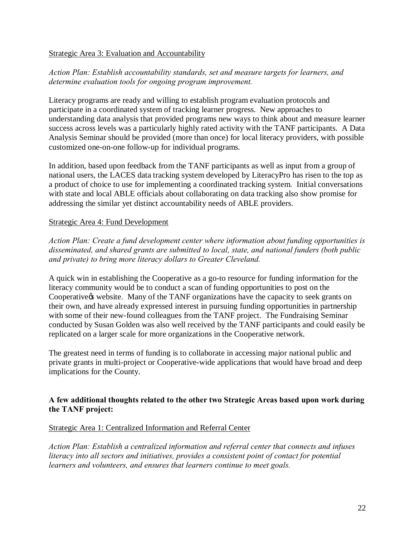#### Strategic Area 3: Evaluation and Accountability

## *Action Plan: Establish accountability standards, set and measure targets for learners, and determine evaluation tools for ongoing program improvement.*

Literacy programs are ready and willing to establish program evaluation protocols and participate in a coordinated system of tracking learner progress. New approaches to understanding data analysis that provided programs new ways to think about and measure learner success across levels was a particularly highly rated activity with the TANF participants. A Data Analysis Seminar should be provided (more than once) for local literacy providers, with possible customized one-on-one follow-up for individual programs.

In addition, based upon feedback from the TANF participants as well as input from a group of national users, the LACES data tracking system developed by LiteracyPro has risen to the top as a product of choice to use for implementing a coordinated tracking system. Initial conversations with state and local ABLE officials about collaborating on data tracking also show promise for addressing the similar yet distinct accountability needs of ABLE providers.

## Strategic Area 4: Fund Development

*Action Plan: Create a fund development center where information about funding opportunities is disseminated, and shared grants are submitted to local, state, and national funders (both public and private) to bring more literacy dollars to Greater Cleveland.*

A quick win in establishing the Cooperative as a go-to resource for funding information for the literacy community would be to conduct a scan of funding opportunities to post on the Cooperative the website. Many of the TANF organizations have the capacity to seek grants on their own, and have already expressed interest in pursuing funding opportunities in partnership with some of their new-found colleagues from the TANF project. The Fundraising Seminar conducted by Susan Golden was also well received by the TANF participants and could easily be replicated on a larger scale for more organizations in the Cooperative network.

The greatest need in terms of funding is to collaborate in accessing major national public and private grants in multi-project or Cooperative-wide applications that would have broad and deep implications for the County.

## **A few additional thoughts related to the other two Strategic Areas based upon work during the TANF project:**

#### Strategic Area 1: Centralized Information and Referral Center

*Action Plan: Establish a centralized information and referral center that connects and infuses literacy into all sectors and initiatives, provides a consistent point of contact for potential learners and volunteers, and ensures that learners continue to meet goals.*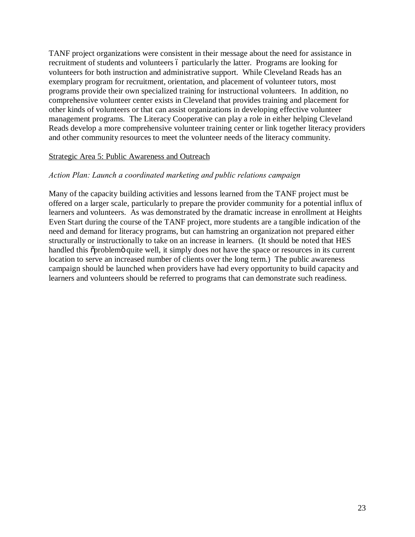TANF project organizations were consistent in their message about the need for assistance in recruitment of students and volunteers 6 particularly the latter. Programs are looking for volunteers for both instruction and administrative support. While Cleveland Reads has an exemplary program for recruitment, orientation, and placement of volunteer tutors, most programs provide their own specialized training for instructional volunteers. In addition, no comprehensive volunteer center exists in Cleveland that provides training and placement for other kinds of volunteers or that can assist organizations in developing effective volunteer management programs. The Literacy Cooperative can play a role in either helping Cleveland Reads develop a more comprehensive volunteer training center or link together literacy providers and other community resources to meet the volunteer needs of the literacy community.

#### Strategic Area 5: Public Awareness and Outreach

## *Action Plan: Launch a coordinated marketing and public relations campaign*

Many of the capacity building activities and lessons learned from the TANF project must be offered on a larger scale, particularly to prepare the provider community for a potential influx of learners and volunteers. As was demonstrated by the dramatic increase in enrollment at Heights Even Start during the course of the TANF project, more students are a tangible indication of the need and demand for literacy programs, but can hamstring an organization not prepared either structurally or instructionally to take on an increase in learners. (It should be noted that HES handled this  $\tilde{\text{op}}$  problem quite well, it simply does not have the space or resources in its current location to serve an increased number of clients over the long term.) The public awareness campaign should be launched when providers have had every opportunity to build capacity and learners and volunteers should be referred to programs that can demonstrate such readiness.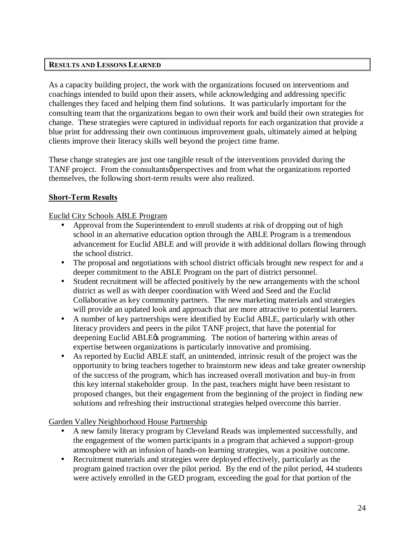## **RESULTS AND LESSONS LEARNED**

As a capacity building project, the work with the organizations focused on interventions and coachings intended to build upon their assets, while acknowledging and addressing specific challenges they faced and helping them find solutions. It was particularly important for the consulting team that the organizations began to own their work and build their own strategies for change. These strategies were captured in individual reports for each organization that provide a blue print for addressing their own continuous improvement goals, ultimately aimed at helping clients improve their literacy skills well beyond the project time frame.

These change strategies are just one tangible result of the interventions provided during the TANF project. From the consultants *o* perspectives and from what the organizations reported themselves, the following short-term results were also realized.

## **Short-Term Results**

## Euclid City Schools ABLE Program

- Approval from the Superintendent to enroll students at risk of dropping out of high school in an alternative education option through the ABLE Program is a tremendous advancement for Euclid ABLE and will provide it with additional dollars flowing through the school district.
- The proposal and negotiations with school district officials brought new respect for and a deeper commitment to the ABLE Program on the part of district personnel.
- ü Student recruitment will be affected positively by the new arrangements with the school district as well as with deeper coordination with Weed and Seed and the Euclid Collaborative as key community partners. The new marketing materials and strategies will provide an updated look and approach that are more attractive to potential learners.
- A number of key partnerships were identified by Euclid ABLE, particularly with other literacy providers and peers in the pilot TANF project, that have the potential for deepening Euclid ABLE $\alpha$  programming. The notion of bartering within areas of expertise between organizations is particularly innovative and promising.
- As reported by Euclid ABLE staff, an unintended, intrinsic result of the project was the opportunity to bring teachers together to brainstorm new ideas and take greater ownership of the success of the program, which has increased overall motivation and buy-in from this key internal stakeholder group. In the past, teachers might have been resistant to proposed changes, but their engagement from the beginning of the project in finding new solutions and refreshing their instructional strategies helped overcome this barrier.

#### Garden Valley Neighborhood House Partnership

- A new family literacy program by Cleveland Reads was implemented successfully, and the engagement of the women participants in a program that achieved a support-group atmosphere with an infusion of hands-on learning strategies, was a positive outcome.
- ü Recruitment materials and strategies were deployed effectively, particularly as the program gained traction over the pilot period. By the end of the pilot period, 44 students were actively enrolled in the GED program, exceeding the goal for that portion of the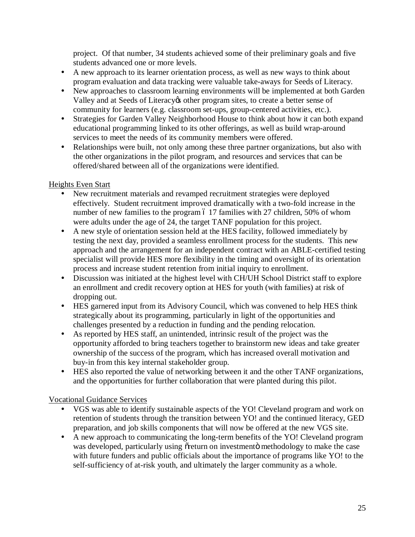project. Of that number, 34 students achieved some of their preliminary goals and five students advanced one or more levels.

- A new approach to its learner orientation process, as well as new ways to think about program evaluation and data tracking were valuable take-aways for Seeds of Literacy.
- New approaches to classroom learning environments will be implemented at both Garden Valley and at Seeds of Literacy to other program sites, to create a better sense of community for learners (e.g. classroom set-ups, group-centered activities, etc.).
- ü Strategies for Garden Valley Neighborhood House to think about how it can both expand educational programming linked to its other offerings, as well as build wrap-around services to meet the needs of its community members were offered.
- Relationships were built, not only among these three partner organizations, but also with the other organizations in the pilot program, and resources and services that can be offered/shared between all of the organizations were identified.

## Heights Even Start

- ü New recruitment materials and revamped recruitment strategies were deployed effectively. Student recruitment improved dramatically with a two-fold increase in the number of new families to the program 6 17 families with 27 children, 50% of whom were adults under the age of 24, the target TANF population for this project.
- A new style of orientation session held at the HES facility, followed immediately by testing the next day, provided a seamless enrollment process for the students. This new approach and the arrangement for an independent contract with an ABLE-certified testing specialist will provide HES more flexibility in the timing and oversight of its orientation process and increase student retention from initial inquiry to enrollment.
- Discussion was initiated at the highest level with CH/UH School District staff to explore an enrollment and credit recovery option at HES for youth (with families) at risk of dropping out.
- ü HES garnered input from its Advisory Council, which was convened to help HES think strategically about its programming, particularly in light of the opportunities and challenges presented by a reduction in funding and the pending relocation.
- ü As reported by HES staff, an unintended, intrinsic result of the project was the opportunity afforded to bring teachers together to brainstorm new ideas and take greater ownership of the success of the program, which has increased overall motivation and buy-in from this key internal stakeholder group.
- HES also reported the value of networking between it and the other TANF organizations, and the opportunities for further collaboration that were planted during this pilot.

## Vocational Guidance Services

- VGS was able to identify sustainable aspects of the YO! Cleveland program and work on retention of students through the transition between YO! and the continued literacy, GED preparation, and job skills components that will now be offered at the new VGS site.
- ü A new approach to communicating the long-term benefits of the YO! Cleveland program was developed, particularly using or eturn on investmento methodology to make the case with future funders and public officials about the importance of programs like YO! to the self-sufficiency of at-risk youth, and ultimately the larger community as a whole.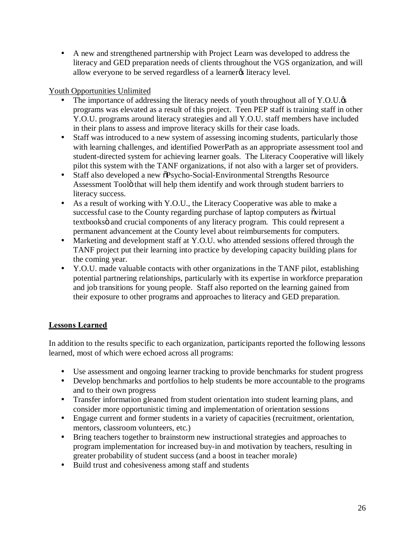ü A new and strengthened partnership with Project Learn was developed to address the literacy and GED preparation needs of clients throughout the VGS organization, and will allow everyone to be served regardless of a learner<sub>(s)</sub> literacy level.

## Youth Opportunities Unlimited

- The importance of addressing the literacy needs of youth throughout all of Y.O.U. $\alpha$ programs was elevated as a result of this project. Teen PEP staff is training staff in other Y.O.U. programs around literacy strategies and all Y.O.U. staff members have included in their plans to assess and improve literacy skills for their case loads.
- Staff was introduced to a new system of assessing incoming students, particularly those with learning challenges, and identified PowerPath as an appropriate assessment tool and student-directed system for achieving learner goals. The Literacy Cooperative will likely pilot this system with the TANF organizations, if not also with a larger set of providers.
- Staff also developed a new  $\delta$ Psycho-Social-Environmental Strengths Resource Assessment Toolö that will help them identify and work through student barriers to literacy success.
- ü As a result of working with Y.O.U., the Literacy Cooperative was able to make a successful case to the County regarding purchase of laptop computers as  $\tilde{\text{o}}$ virtual textbooksö and crucial components of any literacy program. This could represent a permanent advancement at the County level about reimbursements for computers.
- Marketing and development staff at Y.O.U. who attended sessions offered through the TANF project put their learning into practice by developing capacity building plans for the coming year.
- ü Y.O.U. made valuable contacts with other organizations in the TANF pilot, establishing potential partnering relationships, particularly with its expertise in workforce preparation and job transitions for young people. Staff also reported on the learning gained from their exposure to other programs and approaches to literacy and GED preparation.

# **Lessons Learned**

In addition to the results specific to each organization, participants reported the following lessons learned, most of which were echoed across all programs:

- ü Use assessment and ongoing learner tracking to provide benchmarks for student progress
- Develop benchmarks and portfolios to help students be more accountable to the programs and to their own progress
- Transfer information gleaned from student orientation into student learning plans, and consider more opportunistic timing and implementation of orientation sessions
- ü Engage current and former students in a variety of capacities (recruitment, orientation, mentors, classroom volunteers, etc.)
- Bring teachers together to brainstorm new instructional strategies and approaches to program implementation for increased buy-in and motivation by teachers, resulting in greater probability of student success (and a boost in teacher morale)
- Build trust and cohesiveness among staff and students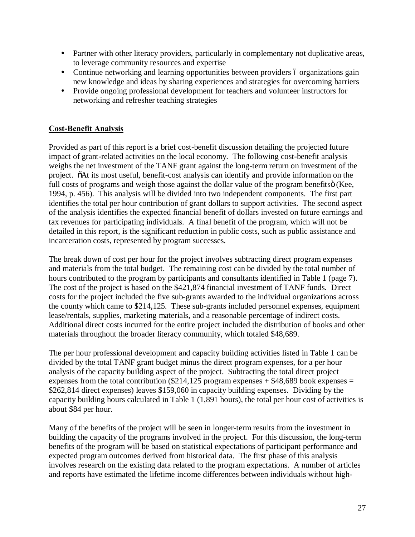- Partner with other literacy providers, particularly in complementary not duplicative areas, to leverage community resources and expertise
- Continue networking and learning opportunities between providers 6 organizations gain new knowledge and ideas by sharing experiences and strategies for overcoming barriers
- ü Provide ongoing professional development for teachers and volunteer instructors for networking and refresher teaching strategies

## **Cost-Benefit Analysis**

Provided as part of this report is a brief cost-benefit discussion detailing the projected future impact of grant-related activities on the local economy. The following cost-benefit analysis weighs the net investment of the TANF grant against the long-term return on investment of the project. "At its most useful, benefit-cost analysis can identify and provide information on the full costs of programs and weigh those against the dollar value of the program benefits (Kee, 1994, p. 456). This analysis will be divided into two independent components. The first part identifies the total per hour contribution of grant dollars to support activities. The second aspect of the analysis identifies the expected financial benefit of dollars invested on future earnings and tax revenues for participating individuals. A final benefit of the program, which will not be detailed in this report, is the significant reduction in public costs, such as public assistance and incarceration costs, represented by program successes.

The break down of cost per hour for the project involves subtracting direct program expenses and materials from the total budget. The remaining cost can be divided by the total number of hours contributed to the program by participants and consultants identified in Table 1 (page 7). The cost of the project is based on the \$421,874 financial investment of TANF funds. Direct costs for the project included the five sub-grants awarded to the individual organizations across the county which came to \$214,125. These sub-grants included personnel expenses, equipment lease/rentals, supplies, marketing materials, and a reasonable percentage of indirect costs. Additional direct costs incurred for the entire project included the distribution of books and other materials throughout the broader literacy community, which totaled \$48,689.

The per hour professional development and capacity building activities listed in Table 1 can be divided by the total TANF grant budget minus the direct program expenses, for a per hour analysis of the capacity building aspect of the project. Subtracting the total direct project expenses from the total contribution (\$214,125 program expenses  $+$  \$48,689 book expenses  $=$ \$262,814 direct expenses) leaves \$159,060 in capacity building expenses. Dividing by the capacity building hours calculated in Table 1 (1,891 hours), the total per hour cost of activities is about \$84 per hour.

Many of the benefits of the project will be seen in longer-term results from the investment in building the capacity of the programs involved in the project. For this discussion, the long-term benefits of the program will be based on statistical expectations of participant performance and expected program outcomes derived from historical data. The first phase of this analysis involves research on the existing data related to the program expectations. A number of articles and reports have estimated the lifetime income differences between individuals without high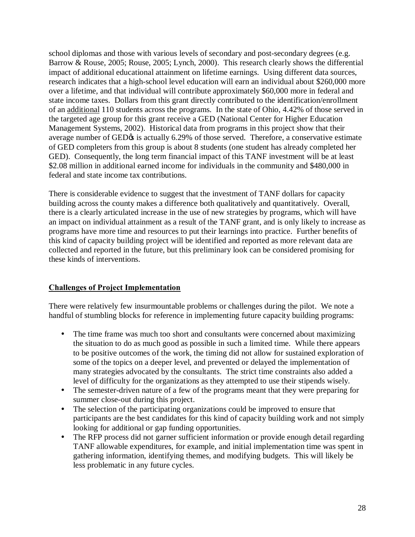school diplomas and those with various levels of secondary and post-secondary degrees (e.g. Barrow & Rouse, 2005; Rouse, 2005; Lynch, 2000). This research clearly shows the differential impact of additional educational attainment on lifetime earnings. Using different data sources, research indicates that a high-school level education will earn an individual about \$260,000 more over a lifetime, and that individual will contribute approximately \$60,000 more in federal and state income taxes. Dollars from this grant directly contributed to the identification/enrollment of an additional 110 students across the programs. In the state of Ohio, 4.42% of those served in the targeted age group for this grant receive a GED (National Center for Higher Education Management Systems, 2002). Historical data from programs in this project show that their average number of GED $\alpha$  is actually 6.29% of those served. Therefore, a conservative estimate of GED completers from this group is about 8 students (one student has already completed her GED). Consequently, the long term financial impact of this TANF investment will be at least \$2.08 million in additional earned income for individuals in the community and \$480,000 in federal and state income tax contributions.

There is considerable evidence to suggest that the investment of TANF dollars for capacity building across the county makes a difference both qualitatively and quantitatively. Overall, there is a clearly articulated increase in the use of new strategies by programs, which will have an impact on individual attainment as a result of the TANF grant, and is only likely to increase as programs have more time and resources to put their learnings into practice. Further benefits of this kind of capacity building project will be identified and reported as more relevant data are collected and reported in the future, but this preliminary look can be considered promising for these kinds of interventions.

## **Challenges of Project Implementation**

There were relatively few insurmountable problems or challenges during the pilot. We note a handful of stumbling blocks for reference in implementing future capacity building programs:

- ü The time frame was much too short and consultants were concerned about maximizing the situation to do as much good as possible in such a limited time. While there appears to be positive outcomes of the work, the timing did not allow for sustained exploration of some of the topics on a deeper level, and prevented or delayed the implementation of many strategies advocated by the consultants. The strict time constraints also added a level of difficulty for the organizations as they attempted to use their stipends wisely.
- The semester-driven nature of a few of the programs meant that they were preparing for summer close-out during this project.
- The selection of the participating organizations could be improved to ensure that participants are the best candidates for this kind of capacity building work and not simply looking for additional or gap funding opportunities.
- ü The RFP process did not garner sufficient information or provide enough detail regarding TANF allowable expenditures, for example, and initial implementation time was spent in gathering information, identifying themes, and modifying budgets. This will likely be less problematic in any future cycles.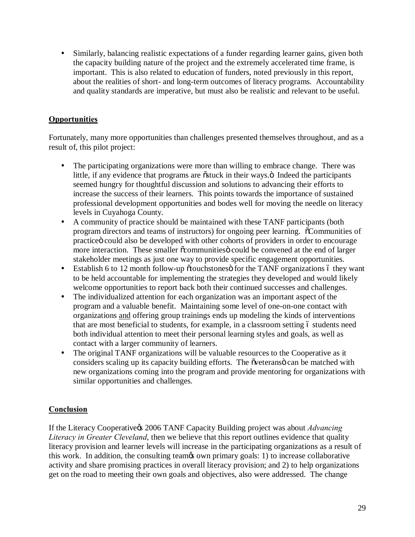ü Similarly, balancing realistic expectations of a funder regarding learner gains, given both the capacity building nature of the project and the extremely accelerated time frame, is important. This is also related to education of funders, noted previously in this report, about the realities of short- and long-term outcomes of literacy programs. Accountability and quality standards are imperative, but must also be realistic and relevant to be useful.

## **Opportunities**

Fortunately, many more opportunities than challenges presented themselves throughout, and as a result of, this pilot project:

- The participating organizations were more than willing to embrace change. There was little, if any evidence that programs are  $\tilde{o}$ stuck in their ways. $\ddot{o}$  Indeed the participants seemed hungry for thoughtful discussion and solutions to advancing their efforts to increase the success of their learners. This points towards the importance of sustained professional development opportunities and bodes well for moving the needle on literacy levels in Cuyahoga County.
- ü A community of practice should be maintained with these TANF participants (both program directors and teams of instructors) for ongoing peer learning. "Communities of practice could also be developed with other cohorts of providers in order to encourage more interaction. These smaller  $\tilde{\alpha}$  communities could be convened at the end of larger stakeholder meetings as just one way to provide specific engagement opportunities.
- $\bullet$  Establish 6 to 12 month follow-up  $\ddot{\text{o}}$  touchstones for the TANF organizations 6 they want to be held accountable for implementing the strategies they developed and would likely welcome opportunities to report back both their continued successes and challenges.
- ü The individualized attention for each organization was an important aspect of the program and a valuable benefit. Maintaining some level of one-on-one contact with organizations and offering group trainings ends up modeling the kinds of interventions that are most beneficial to students, for example, in a classroom setting 6 students need both individual attention to meet their personal learning styles and goals, as well as contact with a larger community of learners.
- The original TANF organizations will be valuable resources to the Cooperative as it considers scaling up its capacity building efforts. The overthermore can be matched with new organizations coming into the program and provide mentoring for organizations with similar opportunities and challenges.

## **Conclusion**

If the Literacy Cooperative<sub>%</sub> 2006 TANF Capacity Building project was about *Advancing Literacy in Greater Cleveland*, then we believe that this report outlines evidence that quality literacy provision and learner levels will increase in the participating organizations as a result of this work. In addition, the consulting team's own primary goals: 1) to increase collaborative activity and share promising practices in overall literacy provision; and 2) to help organizations get on the road to meeting their own goals and objectives, also were addressed. The change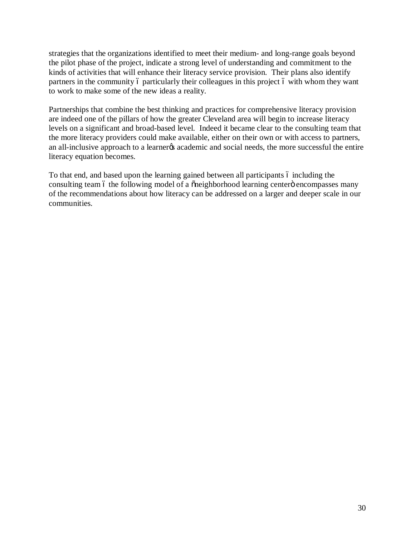strategies that the organizations identified to meet their medium- and long-range goals beyond the pilot phase of the project, indicate a strong level of understanding and commitment to the kinds of activities that will enhance their literacy service provision. Their plans also identify partners in the community 6 particularly their colleagues in this project 6 with whom they want to work to make some of the new ideas a reality.

Partnerships that combine the best thinking and practices for comprehensive literacy provision are indeed one of the pillars of how the greater Cleveland area will begin to increase literacy levels on a significant and broad-based level. Indeed it became clear to the consulting team that the more literacy providers could make available, either on their own or with access to partners, an all-inclusive approach to a learner to academic and social needs, the more successful the entire literacy equation becomes.

To that end, and based upon the learning gained between all participants 6 including the consulting team 6 the following model of a  $\tilde{\text{one}}$  ighborhood learning center<sup>"</sup> encompasses many of the recommendations about how literacy can be addressed on a larger and deeper scale in our communities.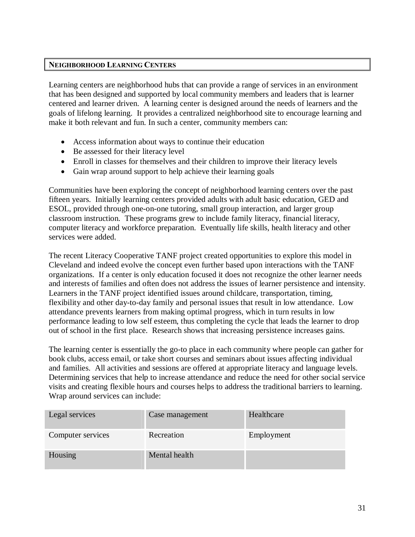## **NEIGHBORHOOD LEARNING CENTERS**

Learning centers are neighborhood hubs that can provide a range of services in an environment that has been designed and supported by local community members and leaders that is learner centered and learner driven. A learning center is designed around the needs of learners and the goals of lifelong learning. It provides a centralized neighborhood site to encourage learning and make it both relevant and fun. In such a center, community members can:

- · Access information about ways to continue their education
- Be assessed for their literacy level
- Enroll in classes for themselves and their children to improve their literacy levels
- · Gain wrap around support to help achieve their learning goals

Communities have been exploring the concept of neighborhood learning centers over the past fifteen years. Initially learning centers provided adults with adult basic education, GED and ESOL, provided through one-on-one tutoring, small group interaction, and larger group classroom instruction. These programs grew to include family literacy, financial literacy, computer literacy and workforce preparation. Eventually life skills, health literacy and other services were added.

The recent Literacy Cooperative TANF project created opportunities to explore this model in Cleveland and indeed evolve the concept even further based upon interactions with the TANF organizations. If a center is only education focused it does not recognize the other learner needs and interests of families and often does not address the issues of learner persistence and intensity. Learners in the TANF project identified issues around childcare, transportation, timing, flexibility and other day-to-day family and personal issues that result in low attendance. Low attendance prevents learners from making optimal progress, which in turn results in low performance leading to low self esteem, thus completing the cycle that leads the learner to drop out of school in the first place. Research shows that increasing persistence increases gains.

The learning center is essentially the go-to place in each community where people can gather for book clubs, access email, or take short courses and seminars about issues affecting individual and families. All activities and sessions are offered at appropriate literacy and language levels. Determining services that help to increase attendance and reduce the need for other social service visits and creating flexible hours and courses helps to address the traditional barriers to learning. Wrap around services can include:

| Legal services    | Case management | Healthcare |
|-------------------|-----------------|------------|
| Computer services | Recreation      | Employment |
| Housing           | Mental health   |            |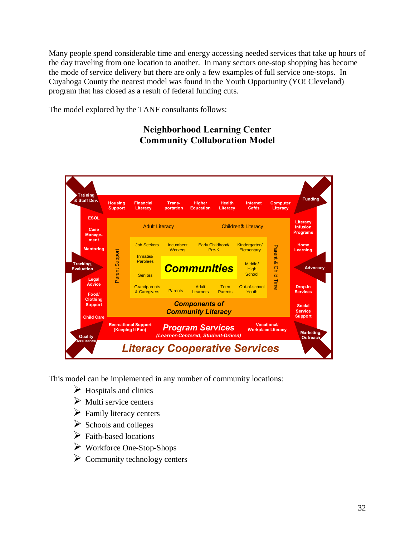Many people spend considerable time and energy accessing needed services that take up hours of the day traveling from one location to another. In many sectors one-stop shopping has become the mode of service delivery but there are only a few examples of full service one-stops. In Cuyahoga County the nearest model was found in the Youth Opportunity (YO! Cleveland) program that has closed as a result of federal funding cuts.

The model explored by the TANF consultants follows:

# **Neighborhood Learning Center Community Collaboration Model**



This model can be implemented in any number of community locations:

- $\triangleright$  Hospitals and clinics
- $\triangleright$  Multi service centers
- $\triangleright$  Family literacy centers
- $\triangleright$  Schools and colleges
- $\triangleright$  Faith-based locations
- $\triangleright$  Workforce One-Stop-Shops
- $\triangleright$  Community technology centers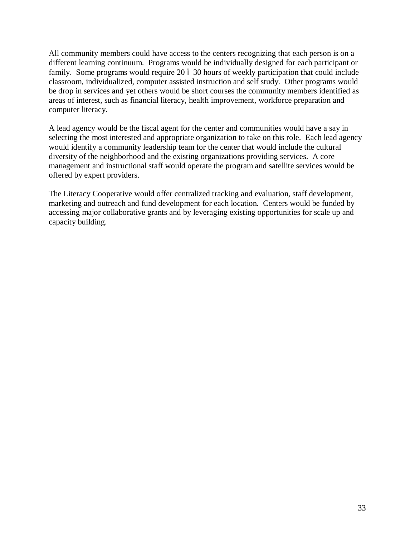All community members could have access to the centers recognizing that each person is on a different learning continuum. Programs would be individually designed for each participant or family. Some programs would require 20  $\acute{o}$  30 hours of weekly participation that could include classroom, individualized, computer assisted instruction and self study. Other programs would be drop in services and yet others would be short courses the community members identified as areas of interest, such as financial literacy, health improvement, workforce preparation and computer literacy.

A lead agency would be the fiscal agent for the center and communities would have a say in selecting the most interested and appropriate organization to take on this role. Each lead agency would identify a community leadership team for the center that would include the cultural diversity of the neighborhood and the existing organizations providing services. A core management and instructional staff would operate the program and satellite services would be offered by expert providers.

The Literacy Cooperative would offer centralized tracking and evaluation, staff development, marketing and outreach and fund development for each location. Centers would be funded by accessing major collaborative grants and by leveraging existing opportunities for scale up and capacity building.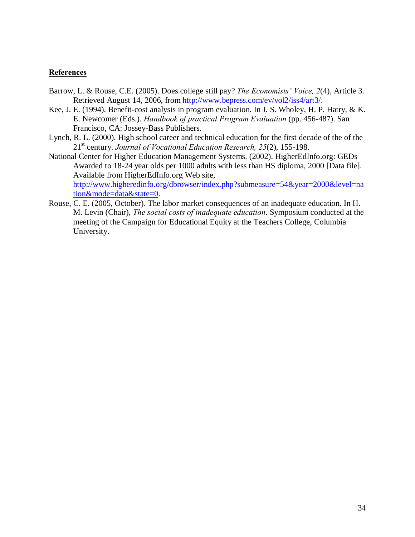### **References**

- Barrow, L. & Rouse, C.E. (2005). Does college still pay? *The Economists' Voice, 2*(4), Article 3. Retrieved August 14, 2006, from [http://www.bepress.com/ev/vol2/iss4/art3/.](http://www.bepress.com/ev/vol2/iss4/art3/)
- Kee, J. E. (1994). Benefit-cost analysis in program evaluation. In J. S. Wholey, H. P. Hatry, & K. E. Newcomer (Eds.). *Handbook of practical Program Evaluation* (pp. 456-487). San Francisco, CA: Jossey-Bass Publishers.
- Lynch, R. L. (2000). High school career and technical education for the first decade of the of the 21<sup>st</sup> century. *Journal of Vocational Education Research*, 25(2), 155-198.
- National Center for Higher Education Management Systems. (2002). HigherEdInfo.org: GEDs Awarded to 18-24 year olds per 1000 adults with less than HS diploma, 2000 [Data file]. Available from HigherEdInfo.org Web site, [http://www.higheredinfo.org/dbrowser/index.php?submeasure=54&year=2000&level=na](http://www.higheredinfo.org/dbrowser/index.php?submeasure=54&year=2000&level=nation&mode=data&state=0) [tion&mode=data&state=0](http://www.higheredinfo.org/dbrowser/index.php?submeasure=54&year=2000&level=nation&mode=data&state=0).
- Rouse, C. E. (2005, October). The labor market consequences of an inadequate education. In H. M. Levin (Chair), *The social costs of inadequate education*. Symposium conducted at the meeting of the Campaign for Educational Equity at the Teachers College, Columbia University.